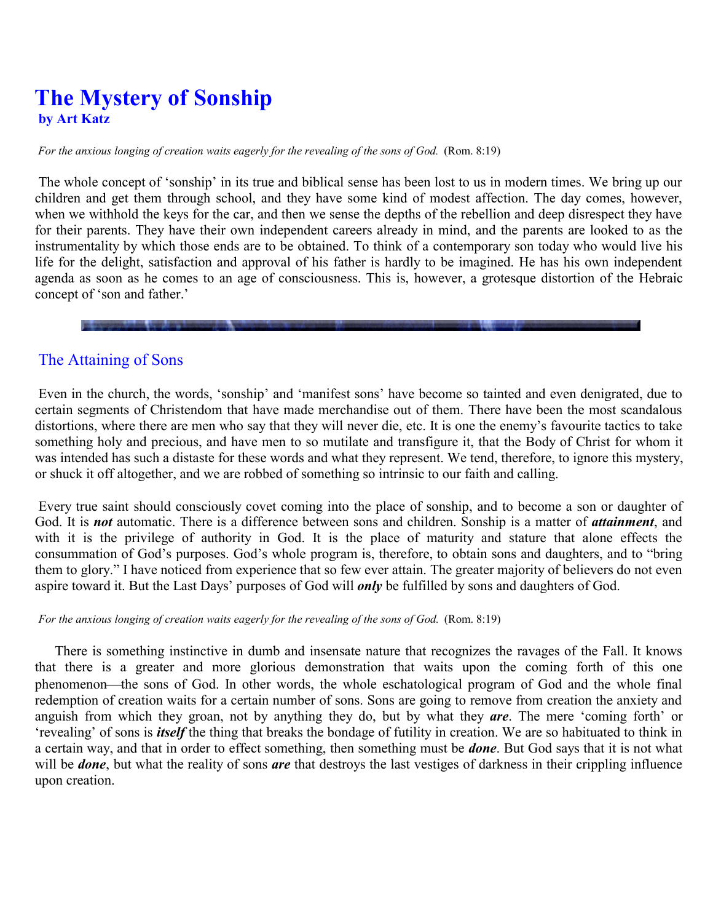# **The Mystery of Sonship by Art Katz**

*For the anxious longing of creation waits eagerly for the revealing of the sons of God.* (Rom. 8:19)

The whole concept of 'sonship' in its true and biblical sense has been lost to us in modern times. We bring up our children and get them through school, and they have some kind of modest affection. The day comes, however, when we withhold the keys for the car, and then we sense the depths of the rebellion and deep disrespect they have for their parents. They have their own independent careers already in mind, and the parents are looked to as the instrumentality by which those ends are to be obtained. To think of a contemporary son today who would live his life for the delight, satisfaction and approval of his father is hardly to be imagined. He has his own independent agenda as soon as he comes to an age of consciousness. This is, however, a grotesque distortion of the Hebraic concept of 'son and father.'

#### The Attaining of Sons

Even in the church, the words, 'sonship' and 'manifest sons' have become so tainted and even denigrated, due to certain segments of Christendom that have made merchandise out of them. There have been the most scandalous distortions, where there are men who say that they will never die, etc. It is one the enemy's favourite tactics to take something holy and precious, and have men to so mutilate and transfigure it, that the Body of Christ for whom it was intended has such a distaste for these words and what they represent. We tend, therefore, to ignore this mystery, or shuck it off altogether, and we are robbed of something so intrinsic to our faith and calling.

Every true saint should consciously covet coming into the place of sonship, and to become a son or daughter of God. It is *not* automatic. There is a difference between sons and children. Sonship is a matter of *attainment*, and with it is the privilege of authority in God. It is the place of maturity and stature that alone effects the consummation of God's purposes. God's whole program is, therefore, to obtain sons and daughters, and to "bring them to glory." I have noticed from experience that so few ever attain. The greater majority of believers do not even aspire toward it. But the Last Days' purposes of God will *only* be fulfilled by sons and daughters of God.

#### *For the anxious longing of creation waits eagerly for the revealing of the sons of God.* (Rom. 8:19)

There is something instinctive in dumb and insensate nature that recognizes the ravages of the Fall. It knows that there is a greater and more glorious demonstration that waits upon the coming forth of this one phenomenon—the sons of God. In other words, the whole eschatological program of God and the whole final redemption of creation waits for a certain number of sons. Sons are going to remove from creation the anxiety and anguish from which they groan, not by anything they do, but by what they *are*. The mere 'coming forth' or 'revealing' of sons is *itself* the thing that breaks the bondage of futility in creation. We are so habituated to think in a certain way, and that in order to effect something, then something must be *done*. But God says that it is not what will be *done*, but what the reality of sons *are* that destroys the last vestiges of darkness in their crippling influence upon creation.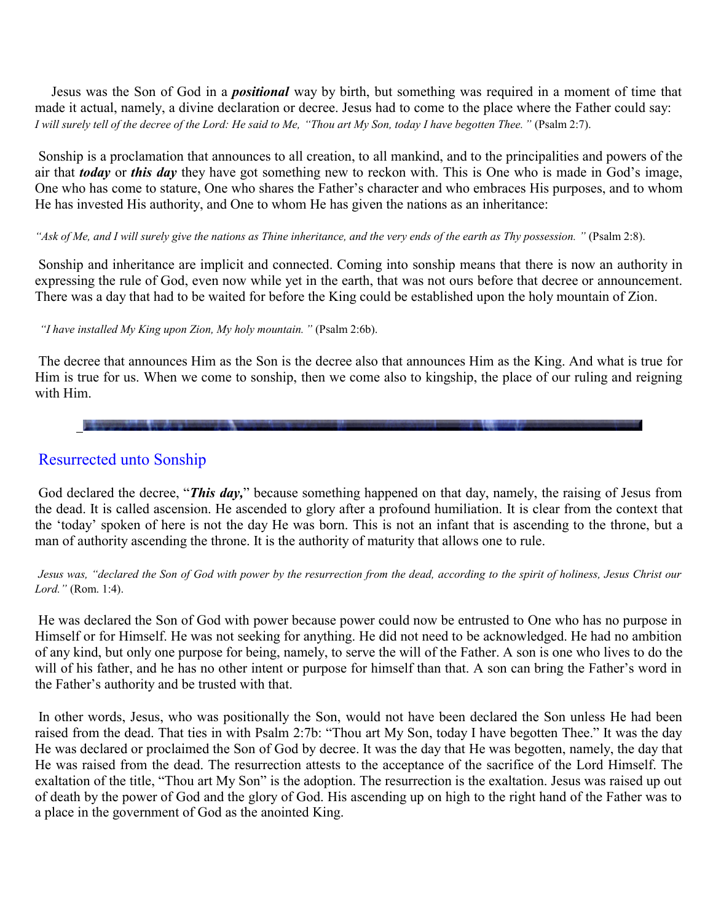Jesus was the Son of God in a *positional* way by birth, but something was required in a moment of time that made it actual, namely, a divine declaration or decree. Jesus had to come to the place where the Father could say: *I will surely tell of the decree of the Lord: He said to Me, " Thou art My Son, today I have begotten Thee."* (Psalm 2:7).

Sonship is a proclamation that announces to all creation, to all mankind, and to the principalities and powers of the air that *today* or *this day* they have got something new to reckon with. This is One who is made in God's image, One who has come to stature, One who shares the Father's character and who embraces His purposes, and to whom He has invested His authority, and One to whom He has given the nations as an inheritance:

#### *" Ask of Me, and I will surely give the nations as Thine inheritance, and the very ends of the earth as Thy possession. "* (Psalm 2:8).

Sonship and inheritance are implicit and connected. Coming into sonship means that there is now an authority in expressing the rule of God, even now while yet in the earth, that was not ours before that decree or announcement. There was a day that had to be waited for before the King could be established upon the holy mountain of Zion.

*" I have installed My King upon Zion, My holy mountain."* (Psalm 2:6b).

The decree that announces Him as the Son is the decree also that announces Him as the King. And what is true for Him is true for us. When we come to sonship, then we come also to kingship, the place of our ruling and reigning with Him.

### Resurrected unto Sonship

God declared the decree, "*This day,*" because something happened on that day, namely, the raising of Jesus from the dead. It is called ascension. He ascended to glory after a profound humiliation. It is clear from the context that the 'today' spoken of here is not the day He was born. This is not an infant that is ascending to the throne, but a man of authority ascending the throne. It is the authority of maturity that allows one to rule.

Jesus was, "declared the Son of God with power by the resurrection from the dead, according to the spirit of holiness, Jesus Christ our *Lord."* (Rom. 1:4).

He was declared the Son of God with power because power could now be entrusted to One who has no purpose in Himself or for Himself. He was not seeking for anything. He did not need to be acknowledged. He had no ambition of any kind, but only one purpose for being, namely, to serve the will of the Father. A son is one who lives to do the will of his father, and he has no other intent or purpose for himself than that. A son can bring the Father's word in the Father's authority and be trusted with that.

In other words, Jesus, who was positionally the Son, would not have been declared the Son unless He had been raised from the dead. That ties in with Psalm 2:7b: "Thou art My Son, today I have begotten Thee." It was the day He was declared or proclaimed the Son of God by decree. It was the day that He was begotten, namely, the day that He was raised from the dead. The resurrection attests to the acceptance of the sacrifice of the Lord Himself. The exaltation of the title, "Thou art My Son" is the adoption. The resurrection is the exaltation. Jesus was raised up out of death by the power of God and the glory of God. His ascending up on high to the right hand of the Father was to a place in the government of God as the anointed King.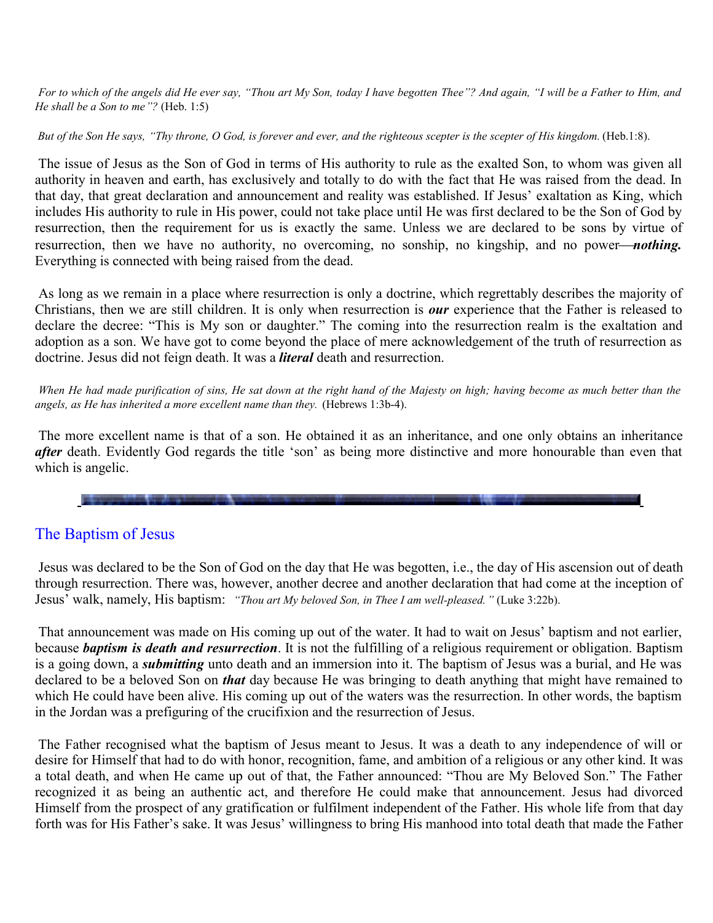For to which of the angels did He ever say, "Thou art My Son, today I have begotten Thee"? And again, "I will be a Father to Him, and *He shall be a Son to me*  $\degree$ ? (Heb. 1:5)

*But of the Son He says, " Thy throne, O God, is forever and ever, and the righteous scepter is the scepter of His kingdom.* (Heb.1:8).

The issue of Jesus as the Son of God in terms of His authority to rule as the exalted Son, to whom was given all authority in heaven and earth, has exclusively and totally to do with the fact that He was raised from the dead. In that day, that great declaration and announcement and reality was established. If Jesus' exaltation as King, which includes His authority to rule in His power, could not take place until He was first declared to be the Son of God by resurrection, then the requirement for us is exactly the same. Unless we are declared to be sons by virtue of resurrection, then we have no authority, no overcoming, no sonship, no kingship, and no power—*nothing*. Everything is connected with being raised from the dead.

As long as we remain in a place where resurrection is only a doctrine, which regrettably describes the majority of Christians, then we are still children. It is only when resurrection is *our* experience that the Father is released to declare the decree: "This is My son or daughter." The coming into the resurrection realm is the exaltation and adoption as a son. We have got to come beyond the place of mere acknowledgement of the truth of resurrection as doctrine. Jesus did not feign death. It was a *literal* death and resurrection.

When He had made purification of sins, He sat down at the right hand of the Majesty on high; having become as much better than the *angels, as He has inherited a more excellent name than they.* (Hebrews 1:3b-4).

The more excellent name is that of a son. He obtained it as an inheritance, and one only obtains an inheritance *after* death. Evidently God regards the title 'son' as being more distinctive and more honourable than even that which is angelic.

## The Baptism of Jesus

Jesus was declared to be the Son of God on the day that He was begotten, i.e., the day of His ascension out of death through resurrection. There was, however, another decree and another declaration that had come at the inception of Jesus' walk, namely, His baptism: *" Thou art My beloved Son, in Thee I am well-pleased."* (Luke 3:22b).

That announcement was made on His coming up out of the water. It had to wait on Jesus' baptism and not earlier, because *baptism is death and resurrection*. It is not the fulfilling of a religious requirement or obligation. Baptism is a going down, a *submitting* unto death and an immersion into it. The baptism of Jesus was a burial, and He was declared to be a beloved Son on *that* day because He was bringing to death anything that might have remained to which He could have been alive. His coming up out of the waters was the resurrection. In other words, the baptism in the Jordan was a prefiguring of the crucifixion and the resurrection of Jesus.

The Father recognised what the baptism of Jesus meant to Jesus. It was a death to any independence of will or desire for Himself that had to do with honor, recognition, fame, and ambition of a religious or any other kind. It was a total death, and when He came up out of that, the Father announced: "Thou are My Beloved Son." The Father recognized it as being an authentic act, and therefore He could make that announcement. Jesus had divorced Himself from the prospect of any gratification or fulfilment independent of the Father. His whole life from that day forth was for His Father's sake. It was Jesus' willingness to bring His manhood into total death that made the Father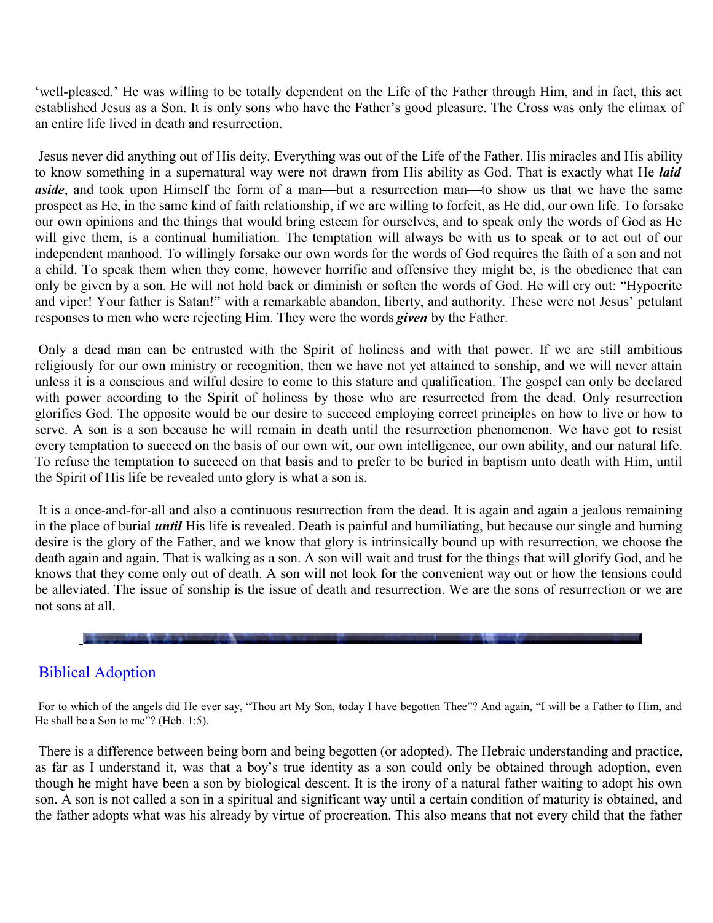'well-pleased.' He was willing to be totally dependent on the Life of the Father through Him, and in fact, this act established Jesus as a Son. It is only sons who have the Father's good pleasure. The Cross was only the climax of an entire life lived in death and resurrection.

Jesus never did anything out of His deity. Everything was out of the Life of the Father. His miracles and His ability to know something in a supernatural way were not drawn from His ability as God. That is exactly what He *laid aside*, and took upon Himself the form of a man—but a resurrection man—to show us that we have the same prospect as He, in the same kind of faith relationship, if we are willing to forfeit, as He did, our own life. To forsake our own opinions and the things that would bring esteem for ourselves, and to speak only the words of God as He will give them, is a continual humiliation. The temptation will always be with us to speak or to act out of our independent manhood. To willingly forsake our own words for the words of God requires the faith of a son and not a child. To speak them when they come, however horrific and offensive they might be, is the obedience that can only be given by a son. He will not hold back or diminish or soften the words of God. He will cry out: "Hypocrite and viper! Your father is Satan!" with a remarkable abandon, liberty, and authority. These were not Jesus' petulant responses to men who were rejecting Him. They were the words *given* by the Father.

Only a dead man can be entrusted with the Spirit of holiness and with that power. If we are still ambitious religiously for our own ministry or recognition, then we have not yet attained to sonship, and we will never attain unless it is a conscious and wilful desire to come to this stature and qualification. The gospel can only be declared with power according to the Spirit of holiness by those who are resurrected from the dead. Only resurrection glorifies God. The opposite would be our desire to succeed employing correct principles on how to live or how to serve. A son is a son because he will remain in death until the resurrection phenomenon. We have got to resist every temptation to succeed on the basis of our own wit, our own intelligence, our own ability, and our natural life. To refuse the temptation to succeed on that basis and to prefer to be buried in baptism unto death with Him, until the Spirit of His life be revealed unto glory is what a son is.

It is a once-and-for-all and also a continuous resurrection from the dead. It is again and again a jealous remaining in the place of burial *until* His life is revealed. Death is painful and humiliating, but because our single and burning desire is the glory of the Father, and we know that glory is intrinsically bound up with resurrection, we choose the death again and again. That is walking as a son. A son will wait and trust for the things that will glorify God, and he knows that they come only out of death. A son will not look for the convenient way out or how the tensions could be alleviated. The issue of sonship is the issue of death and resurrection. We are the sons of resurrection or we are not sons at all.

# Biblical Adoption

For to which of the angels did He ever say, "Thou art My Son, today I have begotten Thee"? And again, "I will be a Father to Him, and He shall be a Son to me"? (Heb. 1:5).

There is a difference between being born and being begotten (or adopted). The Hebraic understanding and practice, as far as I understand it, was that a boy's true identity as a son could only be obtained through adoption, even though he might have been a son by biological descent. It is the irony of a natural father waiting to adopt his own son. A son is not called a son in a spiritual and significant way until a certain condition of maturity is obtained, and the father adopts what was his already by virtue of procreation. This also means that not every child that the father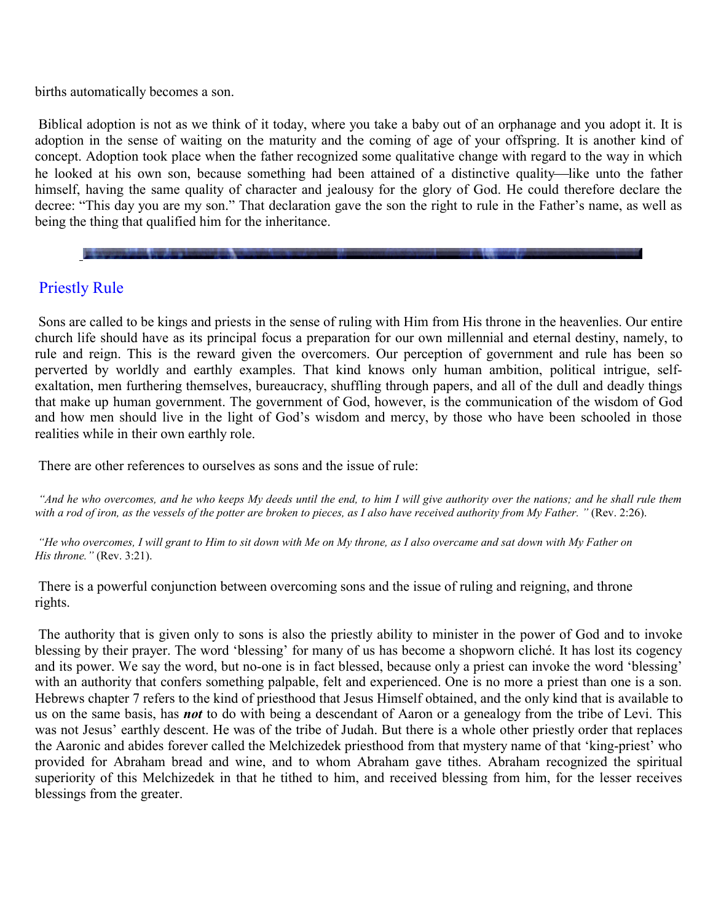births automatically becomes a son.

Biblical adoption is not as we think of it today, where you take a baby out of an orphanage and you adopt it. It is adoption in the sense of waiting on the maturity and the coming of age of your offspring. It is another kind of concept. Adoption took place when the father recognized some qualitative change with regard to the way in which he looked at his own son, because something had been attained of a distinctive quality—like unto the father himself, having the same quality of character and jealousy for the glory of God. He could therefore declare the decree: "This day you are my son." That declaration gave the son the right to rule in the Father's name, as well as being the thing that qualified him for the inheritance.

### Priestly Rule

Sons are called to be kings and priests in the sense of ruling with Him from His throne in the heavenlies. Our entire church life should have as its principal focus a preparation for our own millennial and eternal destiny, namely, to rule and reign. This is the reward given the overcomers. Our perception of government and rule has been so perverted by worldly and earthly examples. That kind knows only human ambition, political intrigue, selfexaltation, men furthering themselves, bureaucracy, shuffling through papers, and all of the dull and deadly things that make up human government. The government of God, however, is the communication of the wisdom of God and how men should live in the light of God's wisdom and mercy, by those who have been schooled in those realities while in their own earthly role.

There are other references to ourselves as sons and the issue of rule:

"And he who overcomes, and he who keeps My deeds until the end, to him I will give authority over the nations; and he shall rule them *with a rod of iron, as the vessels of the potter are broken to pieces, as I also have received authority from My Father. "* (Rev. 2:26).

*" He who overcomes, I will grant to Him to sit down with Me on My throne, as I also overcame and sat down with My Father on His throne."* (Rev. 3:21).

There is a powerful conjunction between overcoming sons and the issue of ruling and reigning, and throne rights.

The authority that is given only to sons is also the priestly ability to minister in the power of God and to invoke blessing by their prayer. The word 'blessing' for many of us has become a shopworn cliché. It has lost its cogency and its power. We say the word, but no-one is in fact blessed, because only a priest can invoke the word 'blessing' with an authority that confers something palpable, felt and experienced. One is no more a priest than one is a son. Hebrews chapter 7 refers to the kind of priesthood that Jesus Himself obtained, and the only kind that is available to us on the same basis, has *not* to do with being a descendant of Aaron or a genealogy from the tribe of Levi. This was not Jesus' earthly descent. He was of the tribe of Judah. But there is a whole other priestly order that replaces the Aaronic and abides forever called the Melchizedek priesthood from that mystery name of that 'king-priest' who provided for Abraham bread and wine, and to whom Abraham gave tithes. Abraham recognized the spiritual superiority of this Melchizedek in that he tithed to him, and received blessing from him, for the lesser receives blessings from the greater.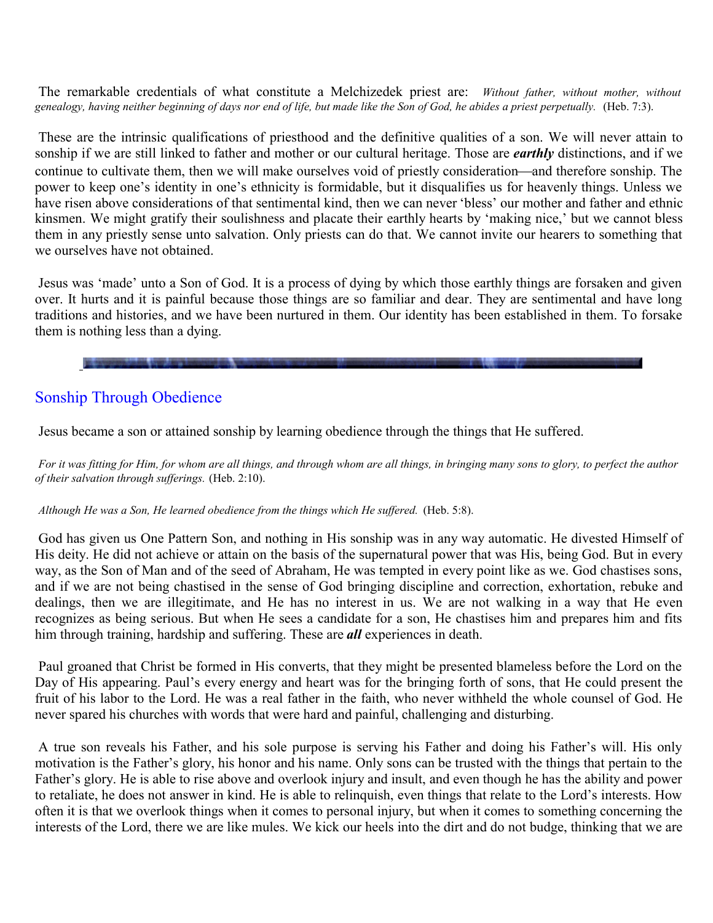The remarkable credentials of what constitute a Melchizedek priest are: *Without father, without mother, without genealogy, having neither beginning of days nor end of life, but made like the Son of God, he abides a priest perpetually.* (Heb. 7:3).

These are the intrinsic qualifications of priesthood and the definitive qualities of a son. We will never attain to sonship if we are still linked to father and mother or our cultural heritage. Those are *earthly* distinctions, and if we continue to cultivate them, then we will make ourselves void of priestly consideration—and therefore sonship. The power to keep one's identity in one's ethnicity is formidable, but it disqualifies us for heavenly things. Unless we have risen above considerations of that sentimental kind, then we can never 'bless' our mother and father and ethnic kinsmen. We might gratify their soulishness and placate their earthly hearts by 'making nice,' but we cannot bless them in any priestly sense unto salvation. Only priests can do that. We cannot invite our hearers to something that we ourselves have not obtained.

Jesus was 'made' unto a Son of God. It is a process of dying by which those earthly things are forsaken and given over. It hurts and it is painful because those things are so familiar and dear. They are sentimental and have long traditions and histories, and we have been nurtured in them. Our identity has been established in them. To forsake them is nothing less than a dying.

# Sonship Through Obedience

Jesus became a son or attained sonship by learning obedience through the things that He suffered.

*For it was fitting for Him, for whom are all things, and through whom are all things, in bringing many sons to glory, to perfect the author of their salvation through sufferings.* (Heb. 2:10).

#### *Although He was a Son, He learned obedience from the things which He suffered.* (Heb. 5:8).

God has given us One Pattern Son, and nothing in His sonship was in any way automatic. He divested Himself of His deity. He did not achieve or attain on the basis of the supernatural power that was His, being God. But in every way, as the Son of Man and of the seed of Abraham, He was tempted in every point like as we. God chastises sons, and if we are not being chastised in the sense of God bringing discipline and correction, exhortation, rebuke and dealings, then we are illegitimate, and He has no interest in us. We are not walking in a way that He even recognizes as being serious. But when He sees a candidate for a son, He chastises him and prepares him and fits him through training, hardship and suffering. These are *all* experiences in death.

Paul groaned that Christ be formed in His converts, that they might be presented blameless before the Lord on the Day of His appearing. Paul's every energy and heart was for the bringing forth of sons, that He could present the fruit of his labor to the Lord. He was a real father in the faith, who never withheld the whole counsel of God. He never spared his churches with words that were hard and painful, challenging and disturbing.

A true son reveals his Father, and his sole purpose is serving his Father and doing his Father's will. His only motivation is the Father's glory, his honor and his name. Only sons can be trusted with the things that pertain to the Father's glory. He is able to rise above and overlook injury and insult, and even though he has the ability and power to retaliate, he does not answer in kind. He is able to relinquish, even things that relate to the Lord's interests. How often it is that we overlook things when it comes to personal injury, but when it comes to something concerning the interests of the Lord, there we are like mules. We kick our heels into the dirt and do not budge, thinking that we are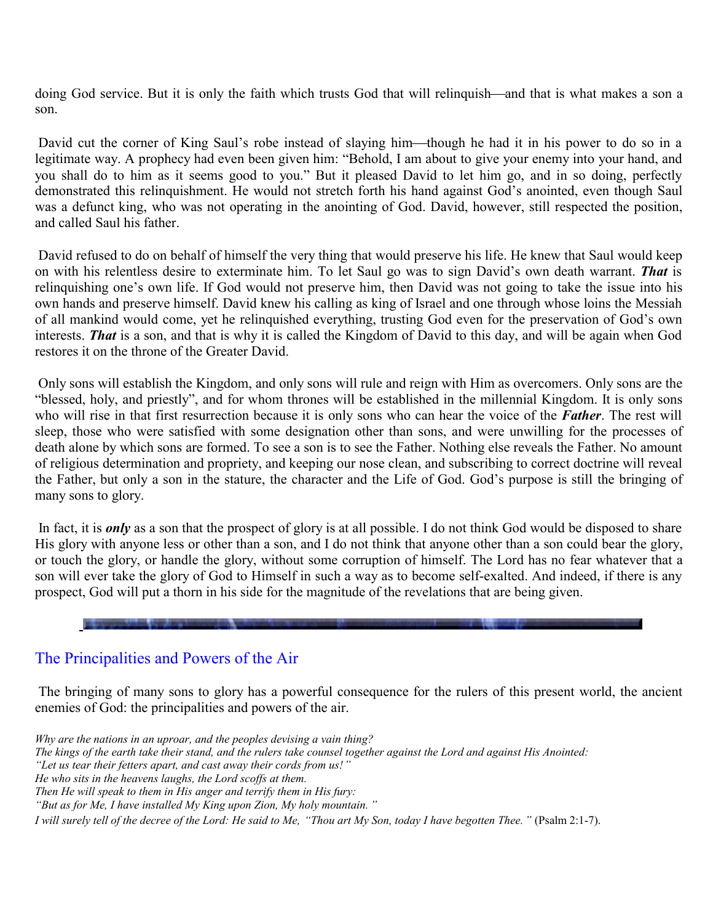doing God service. But it is only the faith which trusts God that will relinquish—and that is what makes a son a son.

David cut the corner of King Saul's robe instead of slaying him—though he had it in his power to do so in a legitimate way. A prophecy had even been given him: "Behold, I am about to give your enemy into your hand, and you shall do to him as it seems good to you." But it pleased David to let him go, and in so doing, perfectly demonstrated this relinquishment. He would not stretch forth his hand against God's anointed, even though Saul was a defunct king, who was not operating in the anointing of God. David, however, still respected the position, and called Saul his father.

David refused to do on behalf of himself the very thing that would preserve his life. He knew that Saul would keep on with his relentless desire to exterminate him. To let Saul go was to sign David's own death warrant. *That* is relinquishing one's own life. If God would not preserve him, then David was not going to take the issue into his own hands and preserve himself. David knew his calling as king of Israel and one through whose loins the Messiah of all mankind would come, yet he relinquished everything, trusting God even for the preservation of God's own interests. *That* is a son, and that is why it is called the Kingdom of David to this day, and will be again when God restores it on the throne of the Greater David.

Only sons will establish the Kingdom, and only sons will rule and reign with Him as overcomers. Only sons are the "blessed, holy, and priestly", and for whom thrones will be established in the millennial Kingdom. It is only sons who will rise in that first resurrection because it is only sons who can hear the voice of the *Father*. The rest will sleep, those who were satisfied with some designation other than sons, and were unwilling for the processes of death alone by which sons are formed. To see a son is to see the Father. Nothing else reveals the Father. No amount of religious determination and propriety, and keeping our nose clean, and subscribing to correct doctrine will reveal the Father, but only a son in the stature, the character and the Life of God. God's purpose is still the bringing of many sons to glory.

In fact, it is *only* as a son that the prospect of glory is at all possible. I do not think God would be disposed to share His glory with anyone less or other than a son, and I do not think that anyone other than a son could bear the glory, or touch the glory, or handle the glory, without some corruption of himself. The Lord has no fear whatever that a son will ever take the glory of God to Himself in such a way as to become self-exalted. And indeed, if there is any prospect, God will put a thorn in his side for the magnitude of the revelations that are being given.

#### The Principalities and Powers of the Air

The bringing of many sons to glory has a powerful consequence for the rulers of this present world, the ancient enemies of God: the principalities and powers of the air.

*Why are the nations in an uproar, and the peoples devising a vain thing? The kings of the earth take their stand, and the rulers take counsel together against the Lord and against His Anointed: " Let us tear their fetters apart, and cast away their cords from us!" He who sits in the heavens laughs, the Lord scoffs at them. Then He will speak to them in His anger and terrify them in His fury: " But as for Me, I have installed My King upon Zion, My holy mountain. "*

*I will surely tell of the decree of the Lord: He said to Me, " Thou art My Son, today I have begotten Thee."* (Psalm 2:1-7).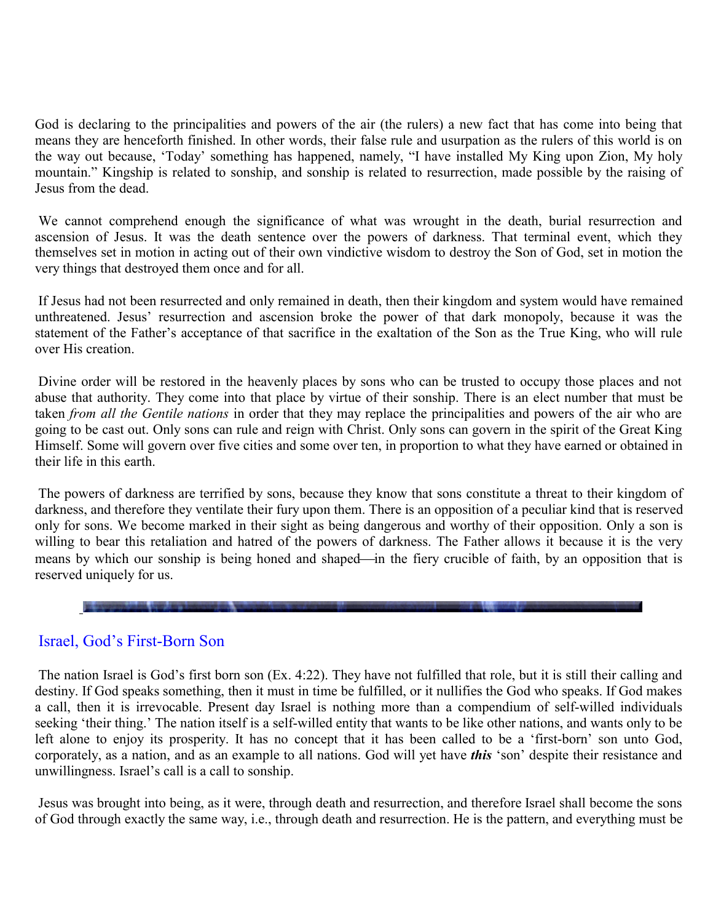God is declaring to the principalities and powers of the air (the rulers) a new fact that has come into being that means they are henceforth finished. In other words, their false rule and usurpation as the rulers of this world is on the way out because, 'Today' something has happened, namely, "I have installed My King upon Zion, My holy mountain." Kingship is related to sonship, and sonship is related to resurrection, made possible by the raising of Jesus from the dead.

We cannot comprehend enough the significance of what was wrought in the death, burial resurrection and ascension of Jesus. It was the death sentence over the powers of darkness. That terminal event, which they themselves set in motion in acting out of their own vindictive wisdom to destroy the Son of God, set in motion the very things that destroyed them once and for all.

If Jesus had not been resurrected and only remained in death, then their kingdom and system would have remained unthreatened. Jesus' resurrection and ascension broke the power of that dark monopoly, because it was the statement of the Father's acceptance of that sacrifice in the exaltation of the Son as the True King, who will rule over His creation.

Divine order will be restored in the heavenly places by sons who can be trusted to occupy those places and not abuse that authority. They come into that place by virtue of their sonship. There is an elect number that must be taken *from all the Gentile nations* in order that they may replace the principalities and powers of the air who are going to be cast out. Only sons can rule and reign with Christ. Only sons can govern in the spirit of the Great King Himself. Some will govern over five cities and some over ten, in proportion to what they have earned or obtained in their life in this earth.

The powers of darkness are terrified by sons, because they know that sons constitute a threat to their kingdom of darkness, and therefore they ventilate their fury upon them. There is an opposition of a peculiar kind that is reserved only for sons. We become marked in their sight as being dangerous and worthy of their opposition. Only a son is willing to bear this retaliation and hatred of the powers of darkness. The Father allows it because it is the very means by which our sonship is being honed and shaped—in the fiery crucible of faith, by an opposition that is reserved uniquely for us.

#### Israel, God's First-Born Son

**SECONDEMANDA CON A DESCRIPTION DE** 

The nation Israel is God's first born son (Ex. 4:22). They have not fulfilled that role, but it is still their calling and destiny. If God speaks something, then it must in time be fulfilled, or it nullifies the God who speaks. If God makes a call, then it is irrevocable. Present day Israel is nothing more than a compendium of self-willed individuals seeking 'their thing.' The nation itself is a self-willed entity that wants to be like other nations, and wants only to be left alone to enjoy its prosperity. It has no concept that it has been called to be a 'first-born' son unto God, corporately, as a nation, and as an example to all nations. God will yet have *this* 'son' despite their resistance and unwillingness. Israel's call is a call to sonship.

Jesus was brought into being, as it were, through death and resurrection, and therefore Israel shall become the sons of God through exactly the same way, i.e., through death and resurrection. He is the pattern, and everything must be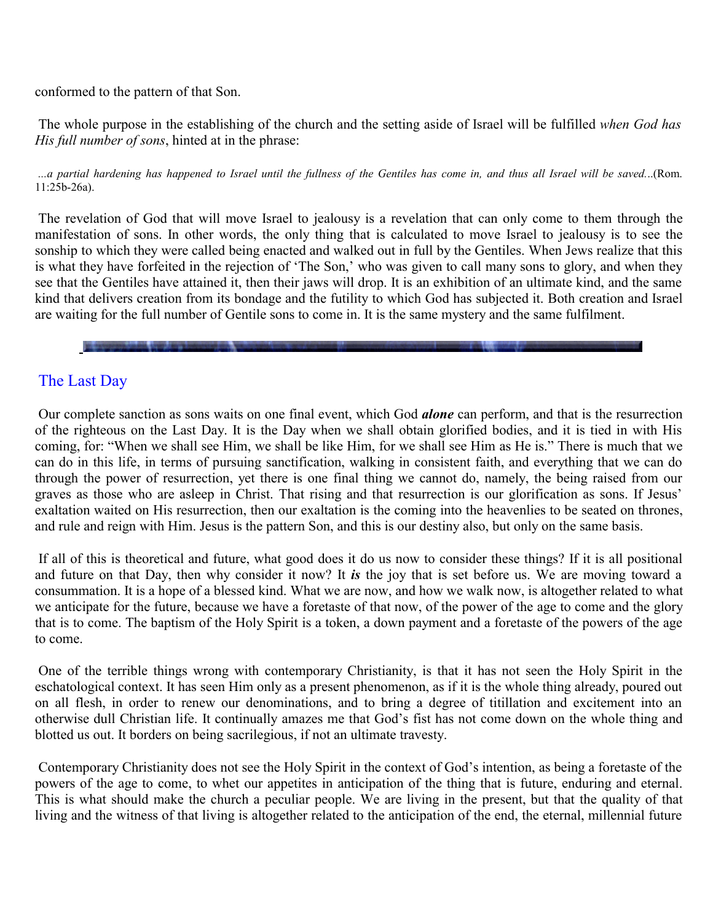conformed to the pattern of that Son.

The whole purpose in the establishing of the church and the setting aside of Israel will be fulfilled *when God has His full number of sons*, hinted at in the phrase:

...a partial hardening has happened to Israel until the fullness of the Gentiles has come in, and thus all Israel will be saved...(Rom. 11:25b-26a).

The revelation of God that will move Israel to jealousy is a revelation that can only come to them through the manifestation of sons. In other words, the only thing that is calculated to move Israel to jealousy is to see the sonship to which they were called being enacted and walked out in full by the Gentiles. When Jews realize that this is what they have forfeited in the rejection of 'The Son,' who was given to call many sons to glory, and when they see that the Gentiles have attained it, then their jaws will drop. It is an exhibition of an ultimate kind, and the same kind that delivers creation from its bondage and the futility to which God has subjected it. Both creation and Israel are waiting for the full number of Gentile sons to come in. It is the same mystery and the same fulfilment.

## The Last Day

Our complete sanction as sons waits on one final event, which God *alone* can perform, and that is the resurrection of the righteous on the Last Day. It is the Day when we shall obtain glorified bodies, and it is tied in with His coming, for: "When we shall see Him, we shall be like Him, for we shall see Him as He is." There is much that we can do in this life, in terms of pursuing sanctification, walking in consistent faith, and everything that we can do through the power of resurrection, yet there is one final thing we cannot do, namely, the being raised from our graves as those who are asleep in Christ. That rising and that resurrection is our glorification as sons. If Jesus' exaltation waited on His resurrection, then our exaltation is the coming into the heavenlies to be seated on thrones, and rule and reign with Him. Jesus is the pattern Son, and this is our destiny also, but only on the same basis.

If all of this is theoretical and future, what good does it do us now to consider these things? If it is all positional and future on that Day, then why consider it now? It *is* the joy that is set before us. We are moving toward a consummation. It is a hope of a blessed kind. What we are now, and how we walk now, is altogether related to what we anticipate for the future, because we have a foretaste of that now, of the power of the age to come and the glory that is to come. The baptism of the Holy Spirit is a token, a down payment and a foretaste of the powers of the age to come.

One of the terrible things wrong with contemporary Christianity, is that it has not seen the Holy Spirit in the eschatological context. It has seen Him only as a present phenomenon, as if it is the whole thing already, poured out on all flesh, in order to renew our denominations, and to bring a degree of titillation and excitement into an otherwise dull Christian life. It continually amazes me that God's fist has not come down on the whole thing and blotted us out. It borders on being sacrilegious, if not an ultimate travesty.

Contemporary Christianity does not see the Holy Spirit in the context of God's intention, as being a foretaste of the powers of the age to come, to whet our appetites in anticipation of the thing that is future, enduring and eternal. This is what should make the church a peculiar people. We are living in the present, but that the quality of that living and the witness of that living is altogether related to the anticipation of the end, the eternal, millennial future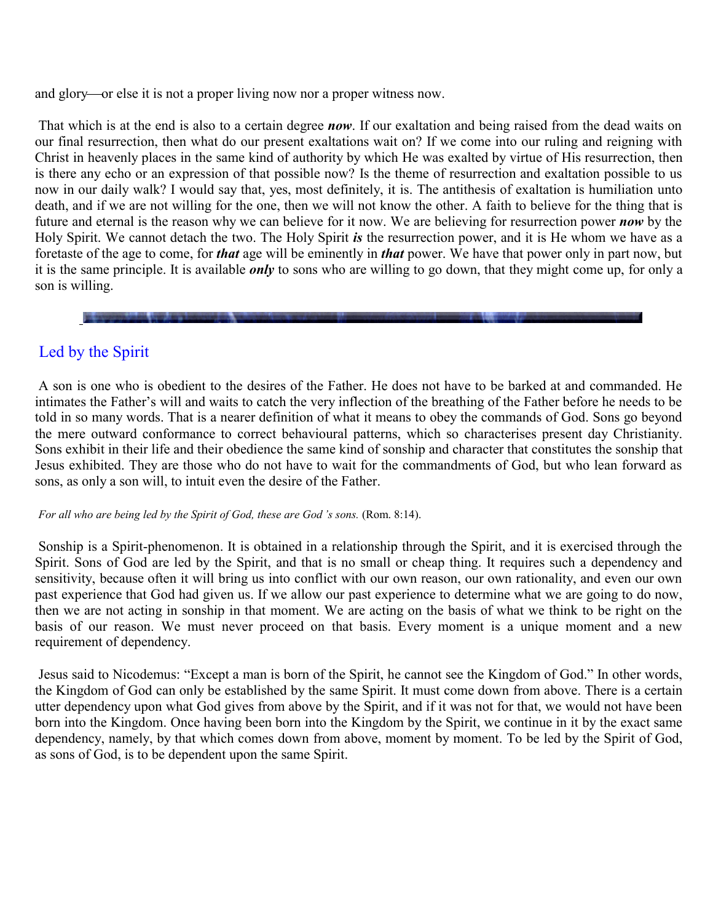and glory—or else it is not a proper living now nor a proper witness now.

That which is at the end is also to a certain degree *now*. If our exaltation and being raised from the dead waits on our final resurrection, then what do our present exaltations wait on? If we come into our ruling and reigning with Christ in heavenly places in the same kind of authority by which He was exalted by virtue of His resurrection, then is there any echo or an expression of that possible now? Is the theme of resurrection and exaltation possible to us now in our daily walk? I would say that, yes, most definitely, it is. The antithesis of exaltation is humiliation unto death, and if we are not willing for the one, then we will not know the other. A faith to believe for the thing that is future and eternal is the reason why we can believe for it now. We are believing for resurrection power *now* by the Holy Spirit. We cannot detach the two. The Holy Spirit *is* the resurrection power, and it is He whom we have as a foretaste of the age to come, for *that* age will be eminently in *that* power. We have that power only in part now, but it is the same principle. It is available *only* to sons who are willing to go down, that they might come up, for only a son is willing.

## Led by the Spirit

A son is one who is obedient to the desires of the Father. He does not have to be barked at and commanded. He intimates the Father's will and waits to catch the very inflection of the breathing of the Father before he needs to be told in so many words. That is a nearer definition of what it means to obey the commands of God. Sons go beyond the mere outward conformance to correct behavioural patterns, which so characterises present day Christianity. Sons exhibit in their life and their obedience the same kind of sonship and character that constitutes the sonship that Jesus exhibited. They are those who do not have to wait for the commandments of God, but who lean forward as sons, as only a son will, to intuit even the desire of the Father.

#### *For all who are being led by the Spirit of God, these are God 's sons.* (Rom. 8:14).

Sonship is a Spirit-phenomenon. It is obtained in a relationship through the Spirit, and it is exercised through the Spirit. Sons of God are led by the Spirit, and that is no small or cheap thing. It requires such a dependency and sensitivity, because often it will bring us into conflict with our own reason, our own rationality, and even our own past experience that God had given us. If we allow our past experience to determine what we are going to do now, then we are not acting in sonship in that moment. We are acting on the basis of what we think to be right on the basis of our reason. We must never proceed on that basis. Every moment is a unique moment and a new requirement of dependency.

Jesus said to Nicodemus: "Except a man is born of the Spirit, he cannot see the Kingdom of God." In other words, the Kingdom of God can only be established by the same Spirit. It must come down from above. There is a certain utter dependency upon what God gives from above by the Spirit, and if it was not for that, we would not have been born into the Kingdom. Once having been born into the Kingdom by the Spirit, we continue in it by the exact same dependency, namely, by that which comes down from above, moment by moment. To be led by the Spirit of God, as sons of God, is to be dependent upon the same Spirit.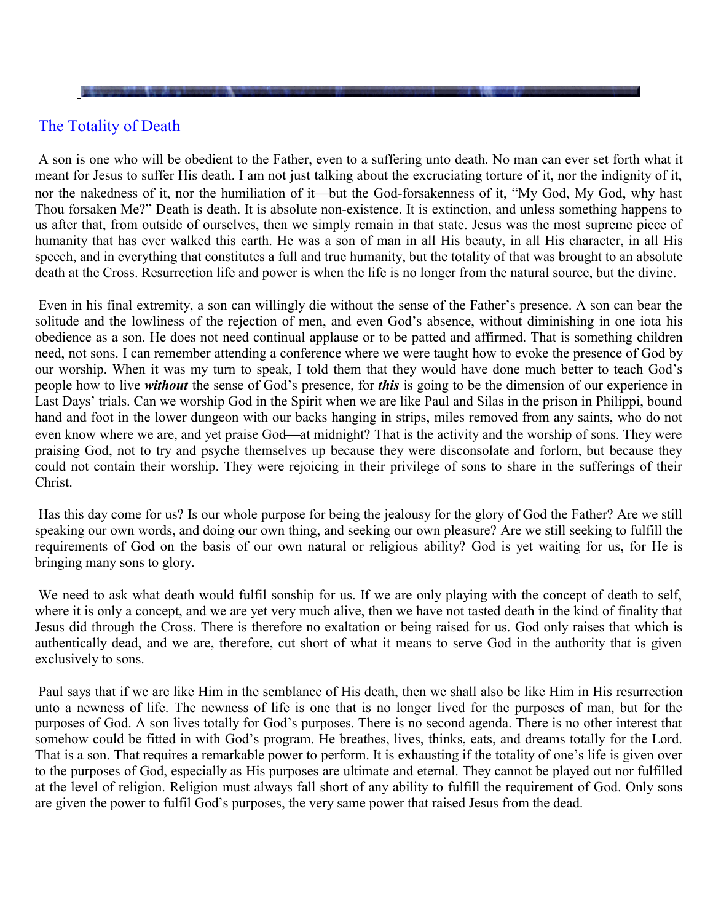A son is one who will be obedient to the Father, even to a suffering unto death. No man can ever set forth what it meant for Jesus to suffer His death. I am not just talking about the excruciating torture of it, nor the indignity of it, nor the nakedness of it, nor the humiliation of it—but the God-forsakenness of it, "My God, My God, why hast Thou forsaken Me?" Death is death. It is absolute non-existence. It is extinction, and unless something happens to us after that, from outside of ourselves, then we simply remain in that state. Jesus was the most supreme piece of humanity that has ever walked this earth. He was a son of man in all His beauty, in all His character, in all His speech, and in everything that constitutes a full and true humanity, but the totality of that was brought to an absolute death at the Cross. Resurrection life and power is when the life is no longer from the natural source, but the divine.

Even in his final extremity, a son can willingly die without the sense of the Father's presence. A son can bear the solitude and the lowliness of the rejection of men, and even God's absence, without diminishing in one iota his obedience as a son. He does not need continual applause or to be patted and affirmed. That is something children need, not sons. I can remember attending a conference where we were taught how to evoke the presence of God by our worship. When it was my turn to speak, I told them that they would have done much better to teach God's people how to live *without* the sense of God's presence, for *this* is going to be the dimension of our experience in Last Days' trials. Can we worship God in the Spirit when we are like Paul and Silas in the prison in Philippi, bound hand and foot in the lower dungeon with our backs hanging in strips, miles removed from any saints, who do not even know where we are, and yet praise God—at midnight? That is the activity and the worship of sons. They were praising God, not to try and psyche themselves up because they were disconsolate and forlorn, but because they could not contain their worship. They were rejoicing in their privilege of sons to share in the sufferings of their Christ.

Has this day come for us? Is our whole purpose for being the jealousy for the glory of God the Father? Are we still speaking our own words, and doing our own thing, and seeking our own pleasure? Are we still seeking to fulfill the requirements of God on the basis of our own natural or religious ability? God is yet waiting for us, for He is bringing many sons to glory.

We need to ask what death would fulfil sonship for us. If we are only playing with the concept of death to self, where it is only a concept, and we are yet very much alive, then we have not tasted death in the kind of finality that Jesus did through the Cross. There is therefore no exaltation or being raised for us. God only raises that which is authentically dead, and we are, therefore, cut short of what it means to serve God in the authority that is given exclusively to sons.

Paul says that if we are like Him in the semblance of His death, then we shall also be like Him in His resurrection unto a newness of life. The newness of life is one that is no longer lived for the purposes of man, but for the purposes of God. A son lives totally for God's purposes. There is no second agenda. There is no other interest that somehow could be fitted in with God's program. He breathes, lives, thinks, eats, and dreams totally for the Lord. That is a son. That requires a remarkable power to perform. It is exhausting if the totality of one's life is given over to the purposes of God, especially as His purposes are ultimate and eternal. They cannot be played out nor fulfilled at the level of religion. Religion must always fall short of any ability to fulfill the requirement of God. Only sons are given the power to fulfil God's purposes, the very same power that raised Jesus from the dead.